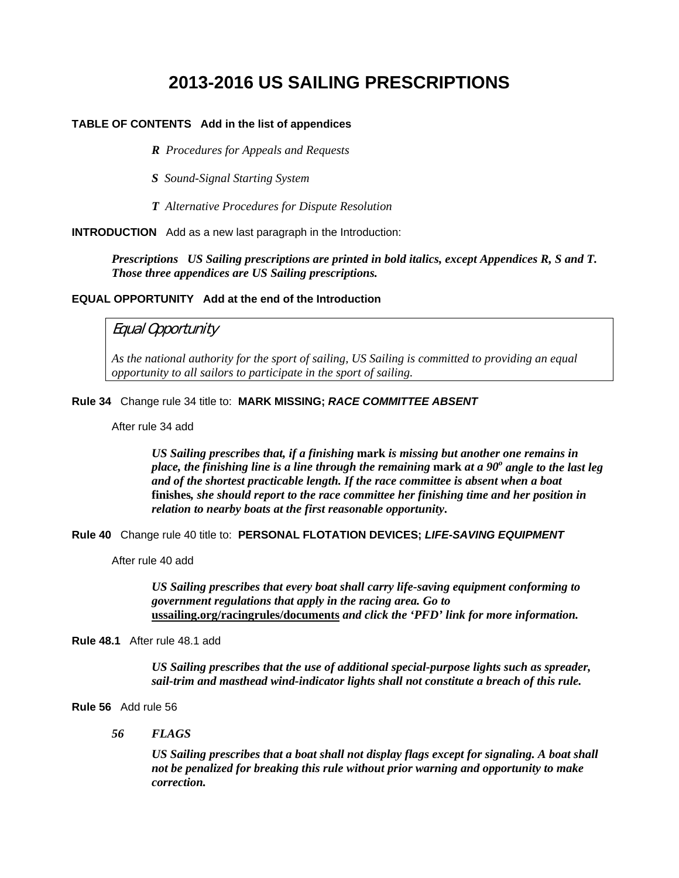# **2013-2016 US SAILING PRESCRIPTIONS**

#### **TABLE OF CONTENTS Add in the list of appendices**

*R Procedures for Appeals and Requests* 

*S Sound-Signal Starting System* 

*T Alternative Procedures for Dispute Resolution* 

**INTRODUCTION** Add as a new last paragraph in the Introduction:

*Prescriptions US Sailing prescriptions are printed in bold italics, except Appendices R, S and T. Those three appendices are US Sailing prescriptions.* 

**EQUAL OPPORTUNITY Add at the end of the Introduction** 

#### Equal Opportunity

*As the national authority for the sport of sailing, US Sailing is committed to providing an equal opportunity to all sailors to participate in the sport of sailing.* 

#### **Rule 34** Change rule 34 title to: **MARK MISSING;** *RACE COMMITTEE ABSENT*

After rule 34 add

*US Sailing prescribes that, if a finishing* **mark** *is missing but another one remains in place, the finishing line is a line through the remaining mark at a 90<sup>°</sup> angle to the last leg and of the shortest practicable length. If the race committee is absent when a boat*  **finishes***, she should report to the race committee her finishing time and her position in relation to nearby boats at the first reasonable opportunity***.**

**Rule 40** Change rule 40 title to: **PERSONAL FLOTATION DEVICES;** *LIFE-SAVING EQUIPMENT*

After rule 40 add

*US Sailing prescribes that every boat shall carry life-saving equipment conforming to government regulations that apply in the racing area. Go to*  **ussailing.org/racingrules/documents** *and click the 'PFD' link for more information.* 

**Rule 48.1** After rule 48.1 add

*US Sailing prescribes that the use of additional special-purpose lights such as spreader, sail-trim and masthead wind-indicator lights shall not constitute a breach of this rule.* 

#### **Rule 56** Add rule 56

*56 FLAGS* 

*US Sailing prescribes that a boat shall not display flags except for signaling. A boat shall not be penalized for breaking this rule without prior warning and opportunity to make correction.*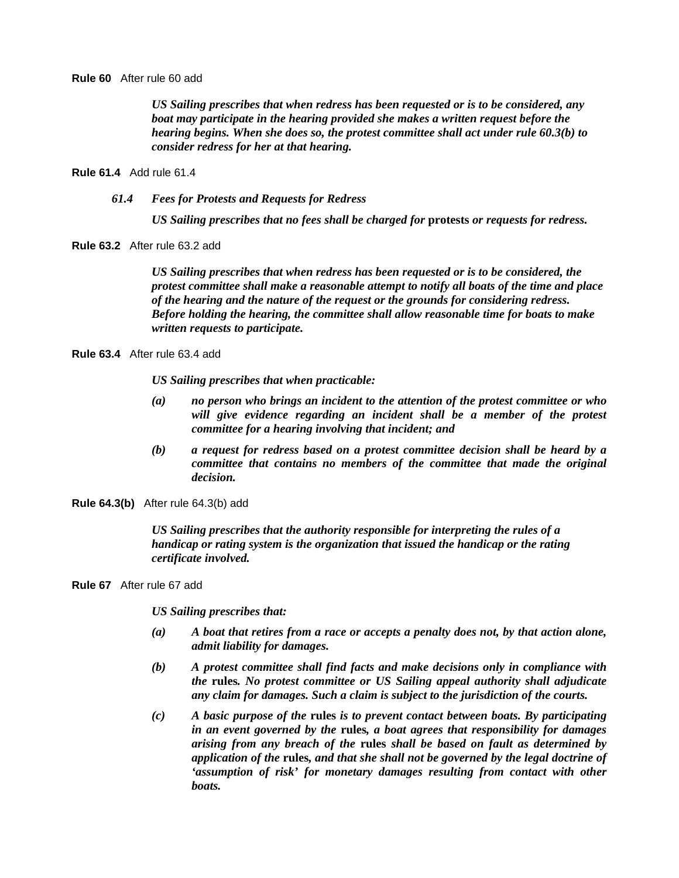*US Sailing prescribes that when redress has been requested or is to be considered, any boat may participate in the hearing provided she makes a written request before the hearing begins. When she does so, the protest committee shall act under rule 60.3(b) to consider redress for her at that hearing.* 

**Rule 61.4** Add rule 61.4

*61.4 Fees for Protests and Requests for Redress* 

*US Sailing prescribes that no fees shall be charged for* **protests** *or requests for redress.* 

**Rule 63.2** After rule 63.2 add

*US Sailing prescribes that when redress has been requested or is to be considered, the protest committee shall make a reasonable attempt to notify all boats of the time and place of the hearing and the nature of the request or the grounds for considering redress. Before holding the hearing, the committee shall allow reasonable time for boats to make written requests to participate.* 

**Rule 63.4** After rule 63.4 add

*US Sailing prescribes that when practicable:* 

- *(a) no person who brings an incident to the attention of the protest committee or who will give evidence regarding an incident shall be a member of the protest committee for a hearing involving that incident; and*
- *(b) a request for redress based on a protest committee decision shall be heard by a committee that contains no members of the committee that made the original decision.*

**Rule 64.3(b)** After rule 64.3(b) add

*US Sailing prescribes that the authority responsible for interpreting the rules of a handicap or rating system is the organization that issued the handicap or the rating certificate involved.* 

**Rule 67** After rule 67 add

*US Sailing prescribes that:*

- *(a) A boat that retires from a race or accepts a penalty does not, by that action alone, admit liability for damages.*
- *(b) A protest committee shall find facts and make decisions only in compliance with the* **rules***. No protest committee or US Sailing appeal authority shall adjudicate any claim for damages. Such a claim is subject to the jurisdiction of the courts.*
- *(c) A basic purpose of the* **rules** *is to prevent contact between boats. By participating in an event governed by the* **rules***, a boat agrees that responsibility for damages arising from any breach of the* **rules** *shall be based on fault as determined by application of the* **rules***, and that she shall not be governed by the legal doctrine of 'assumption of risk' for monetary damages resulting from contact with other boats.*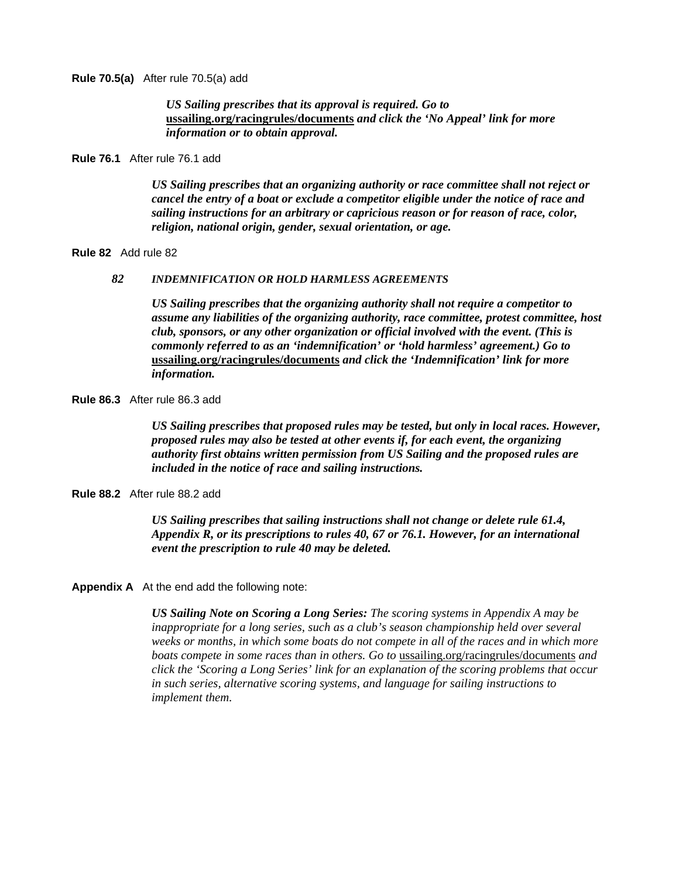**Rule 70.5(a)** After rule 70.5(a) add

*US Sailing prescribes that its approval is required. Go to*  **ussailing.org/racingrules/documents** *and click the 'No Appeal' link for more information or to obtain approval.* 

#### **Rule 76.1** After rule 76.1 add

*US Sailing prescribes that an organizing authority or race committee shall not reject or cancel the entry of a boat or exclude a competitor eligible under the notice of race and sailing instructions for an arbitrary or capricious reason or for reason of race, color, religion, national origin, gender, sexual orientation, or age.* 

#### **Rule 82** Add rule 82

#### *82 INDEMNIFICATION OR HOLD HARMLESS AGREEMENTS*

*US Sailing prescribes that the organizing authority shall not require a competitor to assume any liabilities of the organizing authority, race committee, protest committee, host club, sponsors, or any other organization or official involved with the event. (This is commonly referred to as an 'indemnification' or 'hold harmless' agreement.) Go to*  **ussailing.org/racingrules/documents** *and click the 'Indemnification' link for more information.* 

**Rule 86.3** After rule 86.3 add

*US Sailing prescribes that proposed rules may be tested, but only in local races. However, proposed rules may also be tested at other events if, for each event, the organizing authority first obtains written permission from US Sailing and the proposed rules are included in the notice of race and sailing instructions.* 

#### **Rule 88.2** After rule 88.2 add

*US Sailing prescribes that sailing instructions shall not change or delete rule 61.4, Appendix R, or its prescriptions to rules 40, 67 or 76.1. However, for an international event the prescription to rule 40 may be deleted.*

**Appendix A** At the end add the following note:

*US Sailing Note on Scoring a Long Series: The scoring systems in Appendix A may be inappropriate for a long series, such as a club's season championship held over several weeks or months, in which some boats do not compete in all of the races and in which more boats compete in some races than in others. Go to* ussailing.org/racingrules/documents *and click the 'Scoring a Long Series' link for an explanation of the scoring problems that occur in such series, alternative scoring systems, and language for sailing instructions to implement them.*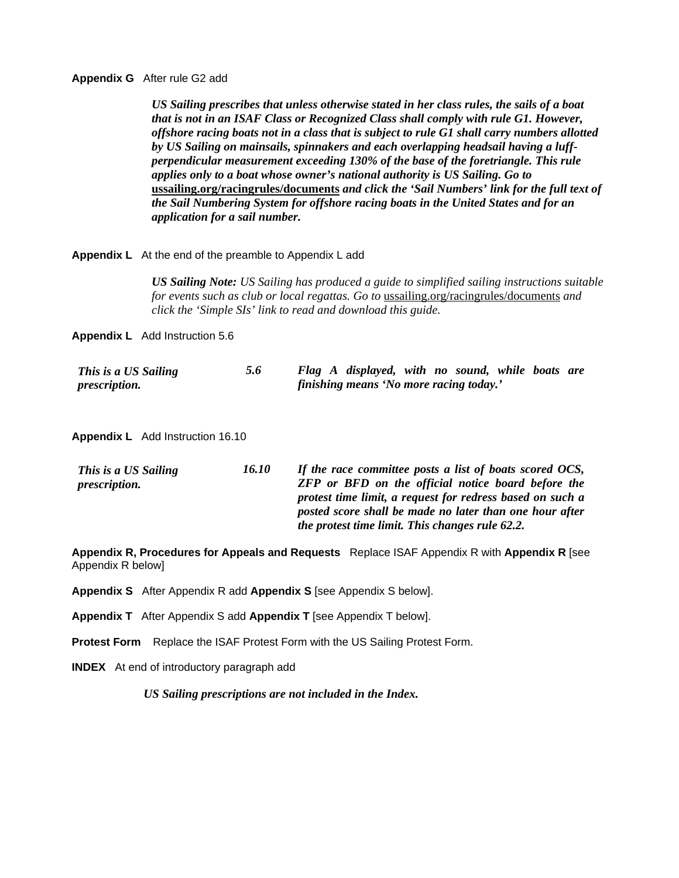#### **Appendix G** After rule G2 add

*US Sailing prescribes that unless otherwise stated in her class rules, the sails of a boat that is not in an ISAF Class or Recognized Class shall comply with rule G1. However, offshore racing boats not in a class that is subject to rule G1 shall carry numbers allotted by US Sailing on mainsails, spinnakers and each overlapping headsail having a luffperpendicular measurement exceeding 130% of the base of the foretriangle. This rule applies only to a boat whose owner's national authority is US Sailing. Go to*  **ussailing.org/racingrules/documents** *and click the 'Sail Numbers' link for the full text of the Sail Numbering System for offshore racing boats in the United States and for an application for a sail number.* 

**Appendix L** At the end of the preamble to Appendix L add

*US Sailing Note: US Sailing has produced a guide to simplified sailing instructions suitable for events such as club or local regattas. Go to* ussailing.org/racingrules/documents *and click the 'Simple SIs' link to read and download this guide.*

**Appendix L** Add Instruction 5.6

| This is a US Sailing | 5.6 | Flag A displayed, with no sound, while boats are |  |  |  |
|----------------------|-----|--------------------------------------------------|--|--|--|
| <i>prescription.</i> |     | finishing means 'No more racing today.'          |  |  |  |

**Appendix L** Add Instruction 16.10

| This is a US Sailing | 16.10 | If the race committee posts a list of boats scored OCS,   |
|----------------------|-------|-----------------------------------------------------------|
| <i>prescription.</i> |       | <b>ZFP</b> or BFD on the official notice board before the |
|                      |       | protest time limit, a request for redress based on such a |
|                      |       | posted score shall be made no later than one hour after   |
|                      |       | the protest time limit. This changes rule 62.2.           |

**Appendix R, Procedures for Appeals and Requests** Replace ISAF Appendix R with **Appendix R** [see Appendix R below]

**Appendix S** After Appendix R add **Appendix S** [see Appendix S below].

**Appendix T** After Appendix S add **Appendix T** [see Appendix T below].

- **Protest Form** Replace the ISAF Protest Form with the US Sailing Protest Form.
- **INDEX** At end of introductory paragraph add

*US Sailing prescriptions are not included in the Index.*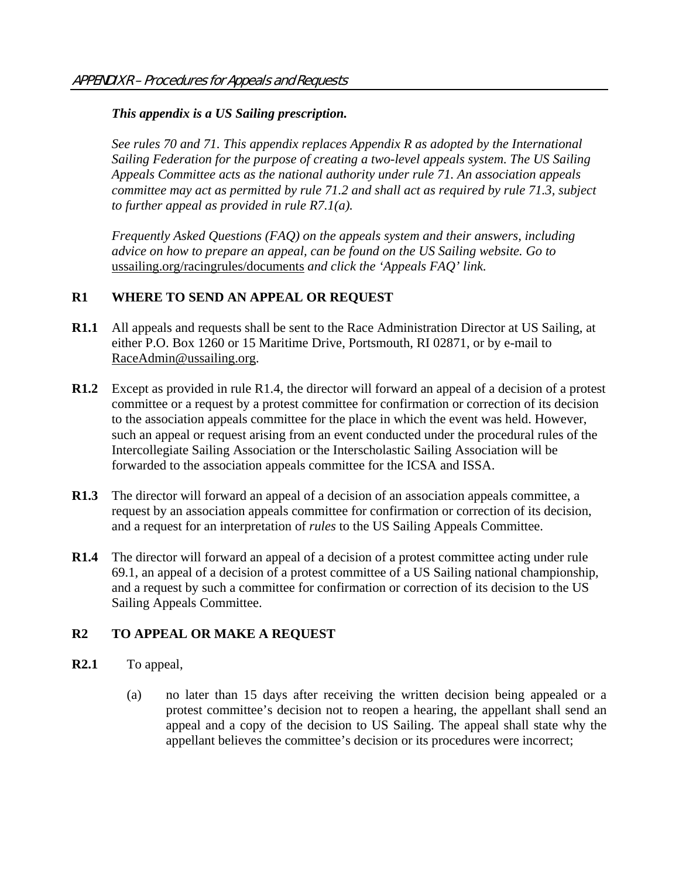#### *This appendix is a US Sailing prescription.*

*See rules 70 and 71. This appendix replaces Appendix R as adopted by the International Sailing Federation for the purpose of creating a two-level appeals system*. *The US Sailing Appeals Committee acts as the national authority under rule 71. An association appeals committee may act as permitted by rule 71.2 and shall act as required by rule 71.3, subject to further appeal as provided in rule R7.1(a).* 

*Frequently Asked Questions (FAQ) on the appeals system and their answers, including advice on how to prepare an appeal, can be found on the US Sailing website. Go to*  ussailing.org/racingrules/documents *and click the 'Appeals FAQ' link.* 

### **R1 WHERE TO SEND AN APPEAL OR REQUEST**

- **R1.1** All appeals and requests shall be sent to the Race Administration Director at US Sailing, at either P.O. Box 1260 or 15 Maritime Drive, Portsmouth, RI 02871, or by e-mail to RaceAdmin@ussailing.org.
- **R1.2** Except as provided in rule R1.4, the director will forward an appeal of a decision of a protest committee or a request by a protest committee for confirmation or correction of its decision to the association appeals committee for the place in which the event was held. However, such an appeal or request arising from an event conducted under the procedural rules of the Intercollegiate Sailing Association or the Interscholastic Sailing Association will be forwarded to the association appeals committee for the ICSA and ISSA.
- **R1.3** The director will forward an appeal of a decision of an association appeals committee, a request by an association appeals committee for confirmation or correction of its decision, and a request for an interpretation of *rules* to the US Sailing Appeals Committee.
- **R1.4** The director will forward an appeal of a decision of a protest committee acting under rule 69.1, an appeal of a decision of a protest committee of a US Sailing national championship, and a request by such a committee for confirmation or correction of its decision to the US Sailing Appeals Committee.

### **R2 TO APPEAL OR MAKE A REQUEST**

- **R2.1** To appeal,
	- (a) no later than 15 days after receiving the written decision being appealed or a protest committee's decision not to reopen a hearing, the appellant shall send an appeal and a copy of the decision to US Sailing. The appeal shall state why the appellant believes the committee's decision or its procedures were incorrect;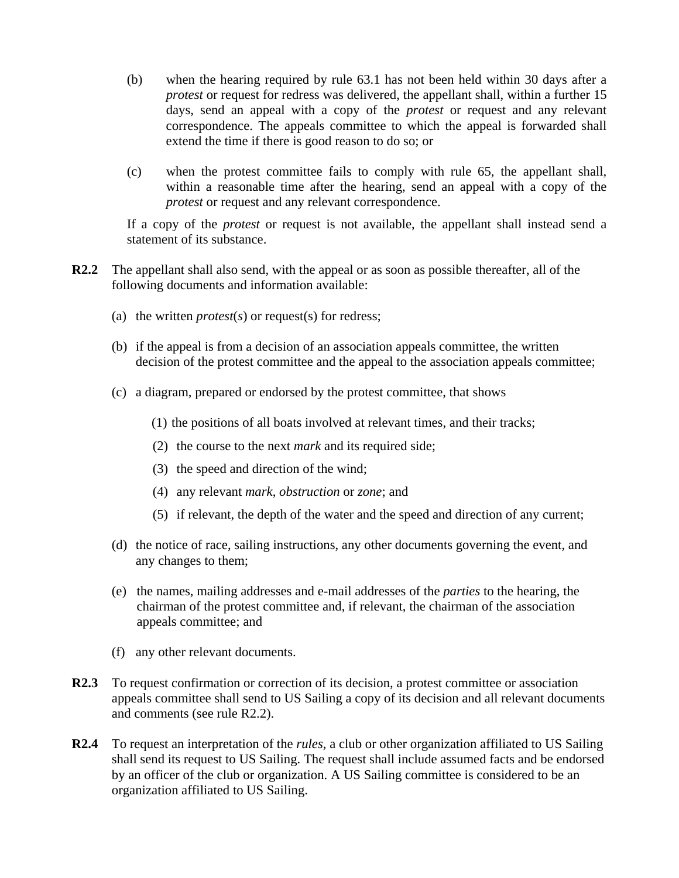- (b) when the hearing required by rule 63.1 has not been held within 30 days after a *protest* or request for redress was delivered, the appellant shall, within a further 15 days, send an appeal with a copy of the *protest* or request and any relevant correspondence. The appeals committee to which the appeal is forwarded shall extend the time if there is good reason to do so; or
- (c) when the protest committee fails to comply with rule 65, the appellant shall, within a reasonable time after the hearing, send an appeal with a copy of the *protest* or request and any relevant correspondence.

If a copy of the *protest* or request is not available, the appellant shall instead send a statement of its substance.

- **R2.2** The appellant shall also send, with the appeal or as soon as possible thereafter, all of the following documents and information available:
	- (a) the written *protest*(*s*) or request(s) for redress;
	- (b) if the appeal is from a decision of an association appeals committee, the written decision of the protest committee and the appeal to the association appeals committee;
	- (c) a diagram, prepared or endorsed by the protest committee, that shows
		- (1) the positions of all boats involved at relevant times, and their tracks;
		- (2) the course to the next *mark* and its required side;
		- (3) the speed and direction of the wind;
		- (4) any relevant *mark*, *obstruction* or *zone*; and
		- (5) if relevant, the depth of the water and the speed and direction of any current;
	- (d) the notice of race, sailing instructions, any other documents governing the event, and any changes to them;
	- (e) the names, mailing addresses and e-mail addresses of the *parties* to the hearing, the chairman of the protest committee and, if relevant, the chairman of the association appeals committee; and
	- (f) any other relevant documents.
- **R2.3** To request confirmation or correction of its decision, a protest committee or association appeals committee shall send to US Sailing a copy of its decision and all relevant documents and comments (see rule R2.2).
- **R2.4** To request an interpretation of the *rules*, a club or other organization affiliated to US Sailing shall send its request to US Sailing. The request shall include assumed facts and be endorsed by an officer of the club or organization. A US Sailing committee is considered to be an organization affiliated to US Sailing.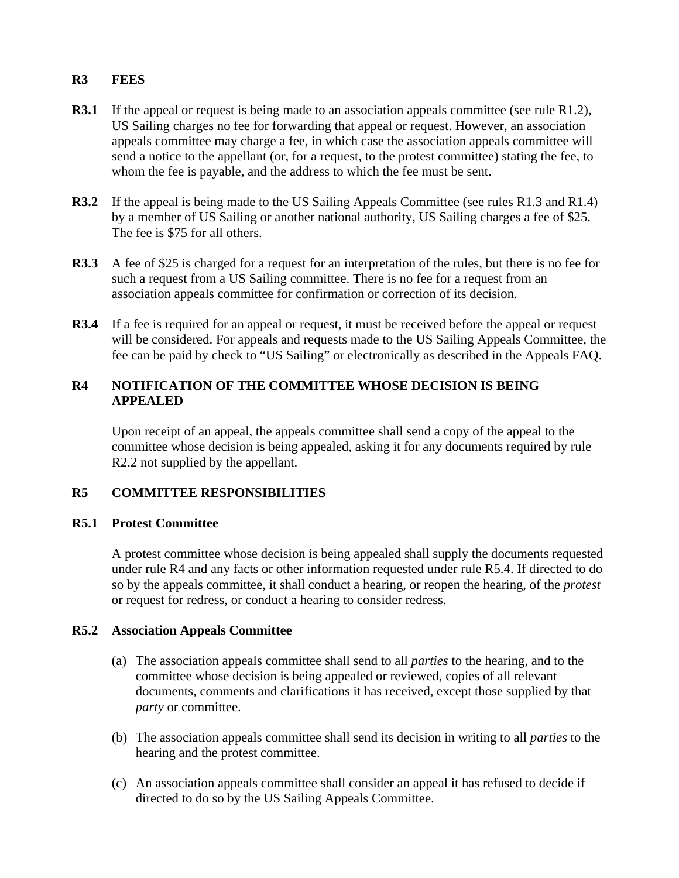## **R3 FEES**

- **R3.1** If the appeal or request is being made to an association appeals committee (see rule R1.2), US Sailing charges no fee for forwarding that appeal or request. However, an association appeals committee may charge a fee, in which case the association appeals committee will send a notice to the appellant (or, for a request, to the protest committee) stating the fee, to whom the fee is payable, and the address to which the fee must be sent.
- **R3.2** If the appeal is being made to the US Sailing Appeals Committee (see rules R1.3 and R1.4) by a member of US Sailing or another national authority, US Sailing charges a fee of \$25. The fee is \$75 for all others.
- **R3.3** A fee of \$25 is charged for a request for an interpretation of the rules, but there is no fee for such a request from a US Sailing committee. There is no fee for a request from an association appeals committee for confirmation or correction of its decision.
- **R3.4** If a fee is required for an appeal or request, it must be received before the appeal or request will be considered. For appeals and requests made to the US Sailing Appeals Committee, the fee can be paid by check to "US Sailing" or electronically as described in the Appeals FAQ.

## **R4 NOTIFICATION OF THE COMMITTEE WHOSE DECISION IS BEING APPEALED**

Upon receipt of an appeal, the appeals committee shall send a copy of the appeal to the committee whose decision is being appealed, asking it for any documents required by rule R2.2 not supplied by the appellant.

### **R5 COMMITTEE RESPONSIBILITIES**

#### **R5.1 Protest Committee**

A protest committee whose decision is being appealed shall supply the documents requested under rule R4 and any facts or other information requested under rule R5.4. If directed to do so by the appeals committee, it shall conduct a hearing, or reopen the hearing, of the *protest* or request for redress, or conduct a hearing to consider redress.

### **R5.2 Association Appeals Committee**

- (a) The association appeals committee shall send to all *parties* to the hearing, and to the committee whose decision is being appealed or reviewed, copies of all relevant documents, comments and clarifications it has received, except those supplied by that *party* or committee.
- (b) The association appeals committee shall send its decision in writing to all *parties* to the hearing and the protest committee.
- (c) An association appeals committee shall consider an appeal it has refused to decide if directed to do so by the US Sailing Appeals Committee.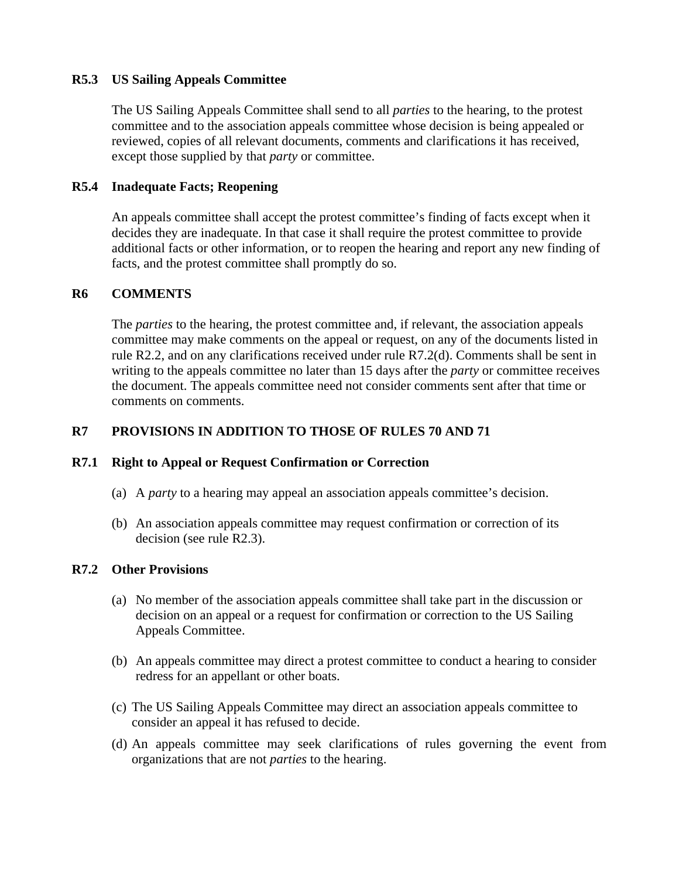#### **R5.3 US Sailing Appeals Committee**

The US Sailing Appeals Committee shall send to all *parties* to the hearing, to the protest committee and to the association appeals committee whose decision is being appealed or reviewed, copies of all relevant documents, comments and clarifications it has received, except those supplied by that *party* or committee.

#### **R5.4 Inadequate Facts; Reopening**

An appeals committee shall accept the protest committee's finding of facts except when it decides they are inadequate. In that case it shall require the protest committee to provide additional facts or other information, or to reopen the hearing and report any new finding of facts, and the protest committee shall promptly do so.

#### **R6 COMMENTS**

The *parties* to the hearing, the protest committee and, if relevant, the association appeals committee may make comments on the appeal or request, on any of the documents listed in rule R2.2, and on any clarifications received under rule R7.2(d). Comments shall be sent in writing to the appeals committee no later than 15 days after the *party* or committee receives the document. The appeals committee need not consider comments sent after that time or comments on comments.

### **R7 PROVISIONS IN ADDITION TO THOSE OF RULES 70 AND 71**

#### **R7.1 Right to Appeal or Request Confirmation or Correction**

- (a) A *party* to a hearing may appeal an association appeals committee's decision.
- (b) An association appeals committee may request confirmation or correction of its decision (see rule R2.3).

#### **R7.2 Other Provisions**

- (a) No member of the association appeals committee shall take part in the discussion or decision on an appeal or a request for confirmation or correction to the US Sailing Appeals Committee.
- (b) An appeals committee may direct a protest committee to conduct a hearing to consider redress for an appellant or other boats.
- (c) The US Sailing Appeals Committee may direct an association appeals committee to consider an appeal it has refused to decide.
- (d) An appeals committee may seek clarifications of rules governing the event from organizations that are not *parties* to the hearing.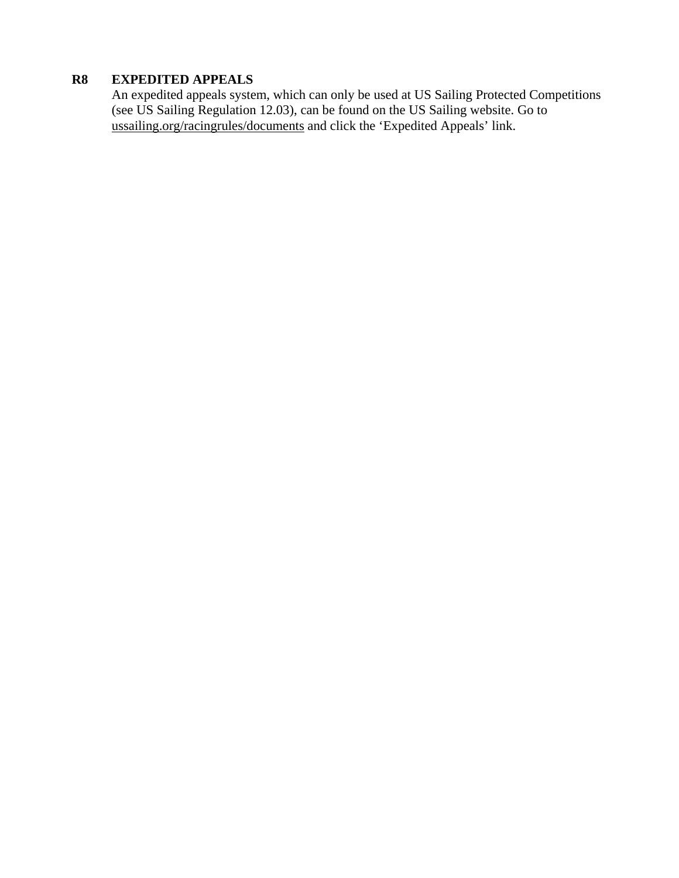## **R8 EXPEDITED APPEALS**

An expedited appeals system, which can only be used at US Sailing Protected Competitions (see US Sailing Regulation 12.03), can be found on the US Sailing website. Go to ussailing.org/racingrules/documents and click the 'Expedited Appeals' link.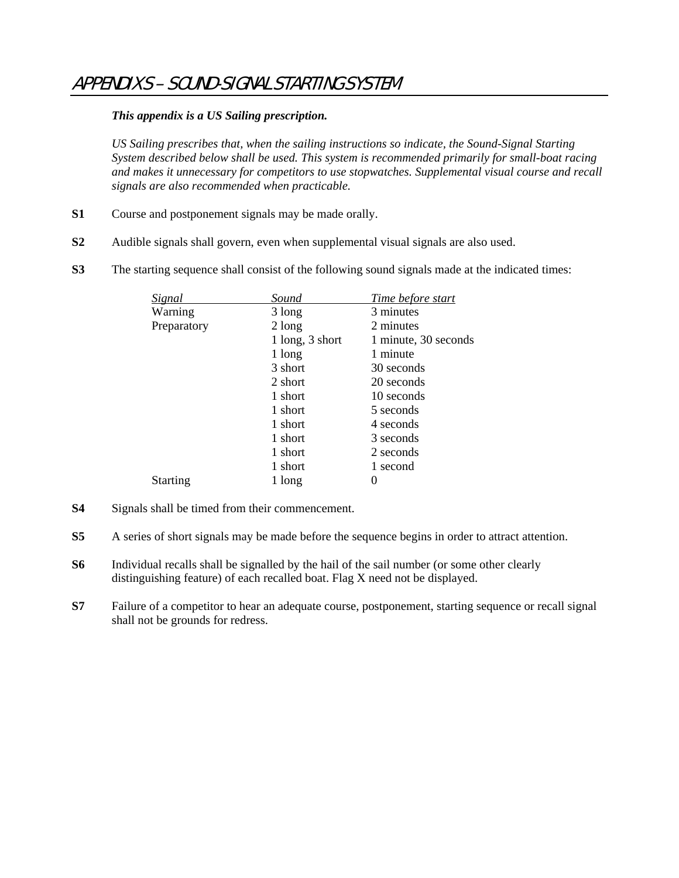# APPENDIX S – SOUND-SIGNAL STARTING SYSTEM

#### *This appendix is a US Sailing prescription.*

*US Sailing prescribes that, when the sailing instructions so indicate, the Sound-Signal Starting System described below shall be used. This system is recommended primarily for small-boat racing and makes it unnecessary for competitors to use stopwatches. Supplemental visual course and recall signals are also recommended when practicable.*

- **S1** Course and postponement signals may be made orally.
- **S2** Audible signals shall govern, even when supplemental visual signals are also used.
- **S3** The starting sequence shall consist of the following sound signals made at the indicated times:

| <b>Signal</b> | Sound            | <u>Time before start</u> |
|---------------|------------------|--------------------------|
| Warning       | 3 long           | 3 minutes                |
| Preparatory   | $2 \text{ long}$ | 2 minutes                |
|               | 1 long, 3 short  | 1 minute, 30 seconds     |
|               | 1 long           | 1 minute                 |
|               | 3 short          | 30 seconds               |
|               | 2 short          | 20 seconds               |
|               | 1 short          | 10 seconds               |
|               | 1 short          | 5 seconds                |
|               | 1 short          | 4 seconds                |
|               | 1 short          | 3 seconds                |
|               | 1 short          | 2 seconds                |
|               | 1 short          | 1 second                 |
| Starting      | 1 long           | 0                        |
|               |                  |                          |

- **S4** Signals shall be timed from their commencement.
- **S5** A series of short signals may be made before the sequence begins in order to attract attention.
- **S6** Individual recalls shall be signalled by the hail of the sail number (or some other clearly distinguishing feature) of each recalled boat. Flag X need not be displayed.
- **S7** Failure of a competitor to hear an adequate course, postponement, starting sequence or recall signal shall not be grounds for redress.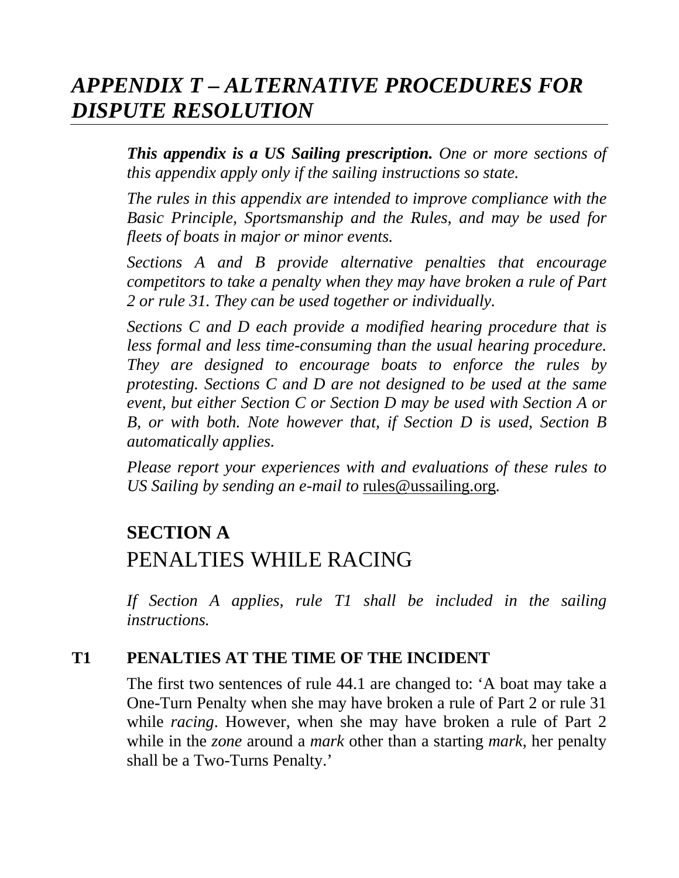# *APPENDIX T – ALTERNATIVE PROCEDURES FOR DISPUTE RESOLUTION*

*This appendix is a US Sailing prescription. One or more sections of this appendix apply only if the sailing instructions so state.* 

*The rules in this appendix are intended to improve compliance with the Basic Principle, Sportsmanship and the Rules, and may be used for fleets of boats in major or minor events.* 

*Sections A and B provide alternative penalties that encourage competitors to take a penalty when they may have broken a rule of Part 2 or rule 31. They can be used together or individually.* 

*Sections C and D each provide a modified hearing procedure that is less formal and less time-consuming than the usual hearing procedure. They are designed to encourage boats to enforce the rules by protesting. Sections C and D are not designed to be used at the same event, but either Section C or Section D may be used with Section A or B, or with both. Note however that, if Section D is used, Section B automatically applies.* 

*Please report your experiences with and evaluations of these rules to US Sailing by sending an e-mail to* rules@ussailing.org*.* 

# **SECTION A**  PENALTIES WHILE RACING

*If Section A applies, rule T1 shall be included in the sailing instructions.* 

## **T1 PENALTIES AT THE TIME OF THE INCIDENT**

The first two sentences of rule 44.1 are changed to: 'A boat may take a One-Turn Penalty when she may have broken a rule of Part 2 or rule 31 while *racing*. However, when she may have broken a rule of Part 2 while in the *zone* around a *mark* other than a starting *mark*, her penalty shall be a Two-Turns Penalty.'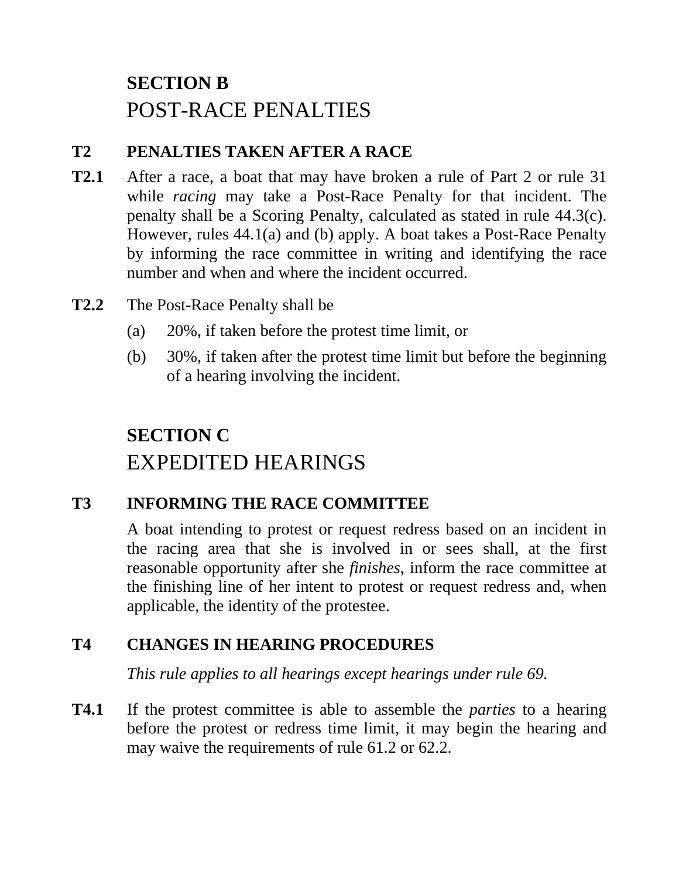# **SECTION B**  POST-RACE PENALTIES

## **T2 PENALTIES TAKEN AFTER A RACE**

- **T2.1** After a race, a boat that may have broken a rule of Part 2 or rule 31 while *racing* may take a Post-Race Penalty for that incident. The penalty shall be a Scoring Penalty, calculated as stated in rule 44.3(c). However, rules 44.1(a) and (b) apply. A boat takes a Post-Race Penalty by informing the race committee in writing and identifying the race number and when and where the incident occurred.
- **T2.2** The Post-Race Penalty shall be
	- (a) 20%, if taken before the protest time limit, or
	- (b) 30%, if taken after the protest time limit but before the beginning of a hearing involving the incident.

# **SECTION C**  EXPEDITED HEARINGS

## **T3 INFORMING THE RACE COMMITTEE**

A boat intending to protest or request redress based on an incident in the racing area that she is involved in or sees shall, at the first reasonable opportunity after she *finishes*, inform the race committee at the finishing line of her intent to protest or request redress and, when applicable, the identity of the protestee.

## **T4 CHANGES IN HEARING PROCEDURES**

*This rule applies to all hearings except hearings under rule 69.* 

**T4.1** If the protest committee is able to assemble the *parties* to a hearing before the protest or redress time limit, it may begin the hearing and may waive the requirements of rule 61.2 or 62.2.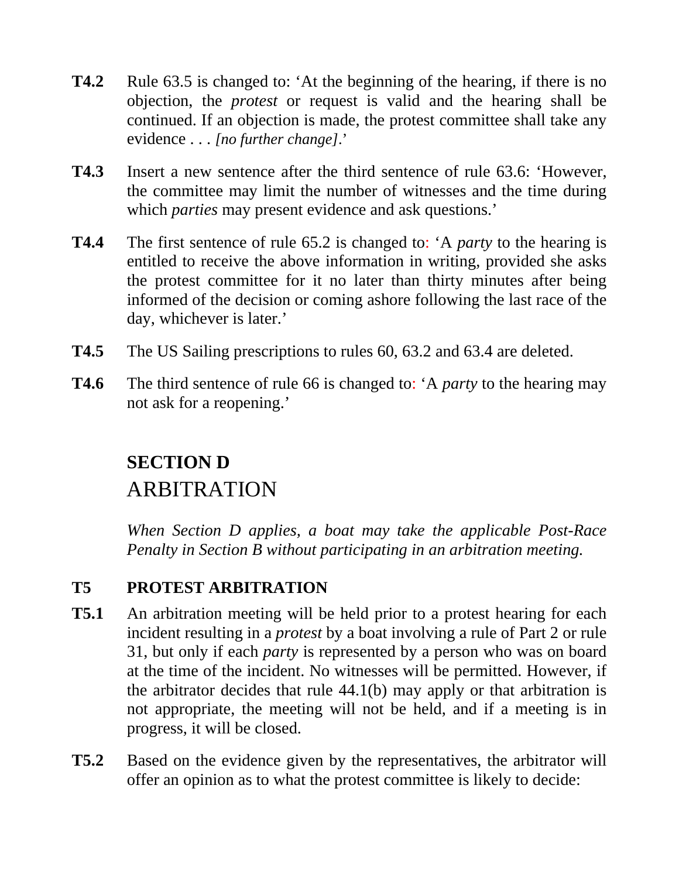- **T4.2** Rule 63.5 is changed to: 'At the beginning of the hearing, if there is no objection, the *protest* or request is valid and the hearing shall be continued. If an objection is made, the protest committee shall take any evidence . . . *[no further change]*.'
- **T4.3** Insert a new sentence after the third sentence of rule 63.6: 'However, the committee may limit the number of witnesses and the time during which *parties* may present evidence and ask questions.'
- **T4.4** The first sentence of rule 65.2 is changed to: 'A *party* to the hearing is entitled to receive the above information in writing, provided she asks the protest committee for it no later than thirty minutes after being informed of the decision or coming ashore following the last race of the day, whichever is later.'
- **T4.5** The US Sailing prescriptions to rules 60, 63.2 and 63.4 are deleted.
- **T4.6** The third sentence of rule 66 is changed to: 'A *party* to the hearing may not ask for a reopening.'

# **SECTION D**  ARBITRATION

*When Section D applies, a boat may take the applicable Post-Race Penalty in Section B without participating in an arbitration meeting.* 

# **T5 PROTEST ARBITRATION**

- **T5.1** An arbitration meeting will be held prior to a protest hearing for each incident resulting in a *protest* by a boat involving a rule of Part 2 or rule 31, but only if each *party* is represented by a person who was on board at the time of the incident. No witnesses will be permitted. However, if the arbitrator decides that rule 44.1(b) may apply or that arbitration is not appropriate, the meeting will not be held, and if a meeting is in progress, it will be closed.
- **T5.2** Based on the evidence given by the representatives, the arbitrator will offer an opinion as to what the protest committee is likely to decide: